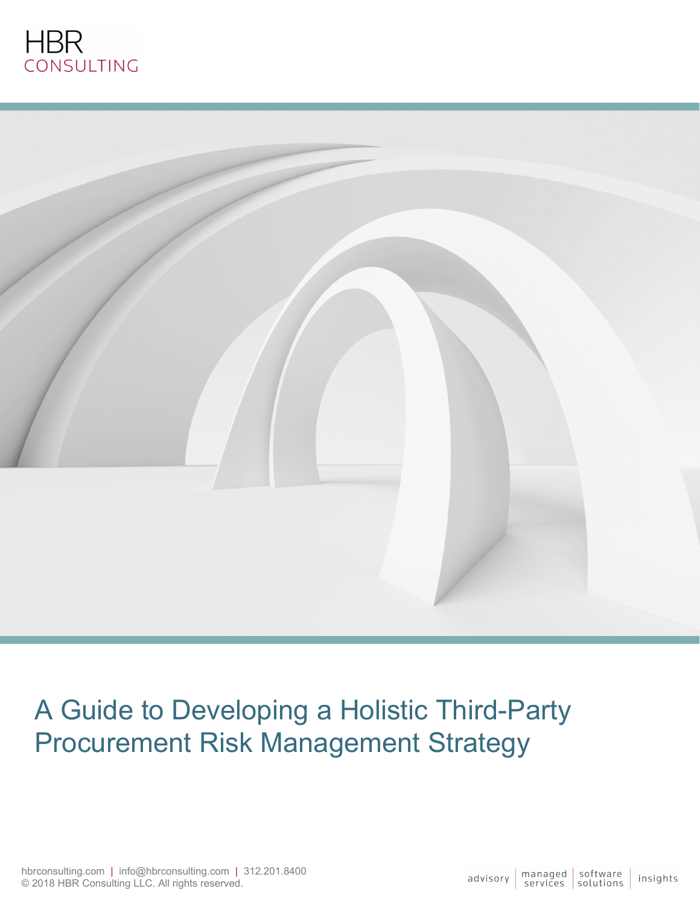



# A Guide to Developing a Holistic Third-Party Procurement Risk Management Strategy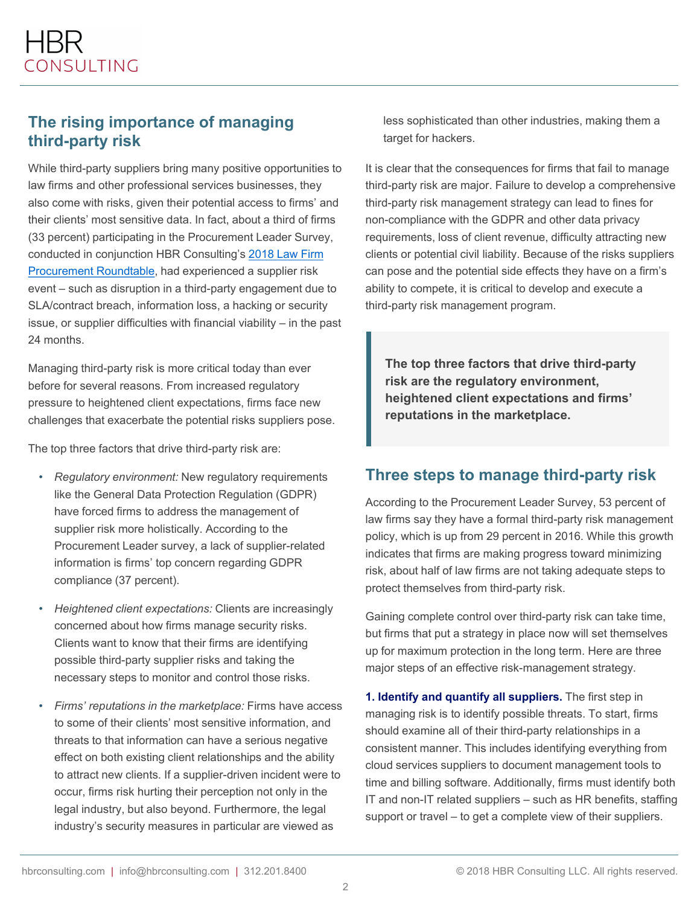#### **The rising importance of managing third-party risk**

While third-party suppliers bring many positive opportunities to law firms and other professional services businesses, they also come with risks, given their potential access to firms' and their clients' most sensitive data. In fact, about a third of firms (33 percent) participating in the Procurement Leader Survey, conducted in conjunction HBR Consulting's 2018 Law Firm [Procurement Roundtable, had experienced a supplier risk](http://blog.hbrconsulting.com/three-steps-to-gain-firm-leaders-buy-in-for-procurement-investments)  event – such as disruption in a third-party engagement due to SLA/contract breach, information loss, a hacking or security issue, or supplier difficulties with financial viability – in the past 24 months.

Managing third-party risk is more critical today than ever before for several reasons. From increased regulatory pressure to heightened client expectations, firms face new challenges that exacerbate the potential risks suppliers pose.

The top three factors that drive third-party risk are:

- *Regulatory environment:* New regulatory requirements like the General Data Protection Regulation (GDPR) have forced firms to address the management of supplier risk more holistically. According to the Procurement Leader survey, a lack of supplier-related information is firms' top concern regarding GDPR compliance (37 percent).
- *Heightened client expectations:* Clients are increasingly concerned about how firms manage security risks. Clients want to know that their firms are identifying possible third-party supplier risks and taking the necessary steps to monitor and control those risks.
- *Firms' reputations in the marketplace:* Firms have access to some of their clients' most sensitive information, and threats to that information can have a serious negative effect on both existing client relationships and the ability to attract new clients. If a supplier-driven incident were to occur, firms risk hurting their perception not only in the legal industry, but also beyond. Furthermore, the legal industry's security measures in particular are viewed as

less sophisticated than other industries, making them a target for hackers.

It is clear that the consequences for firms that fail to manage third-party risk are major. Failure to develop a comprehensive third-party risk management strategy can lead to fines for non-compliance with the GDPR and other data privacy requirements, loss of client revenue, difficulty attracting new clients or potential civil liability. Because of the risks suppliers can pose and the potential side effects they have on a firm's ability to compete, it is critical to develop and execute a third-party risk management program.

**The top three factors that drive third-party risk are the regulatory environment, heightened client expectations and firms' reputations in the marketplace.**

## **Three steps to manage third-party risk**

According to the Procurement Leader Survey, 53 percent of law firms say they have a formal third-party risk management policy, which is up from 29 percent in 2016. While this growth indicates that firms are making progress toward minimizing risk, about half of law firms are not taking adequate steps to protect themselves from third-party risk.

Gaining complete control over third-party risk can take time, but firms that put a strategy in place now will set themselves up for maximum protection in the long term. Here are three major steps of an effective risk-management strategy.

**1. Identify and quantify all suppliers.** The first step in managing risk is to identify possible threats. To start, firms should examine all of their third-party relationships in a consistent manner. This includes identifying everything from cloud services suppliers to document management tools to time and billing software. Additionally, firms must identify both IT and non-IT related suppliers – such as HR benefits, staffing support or travel – to get a complete view of their suppliers.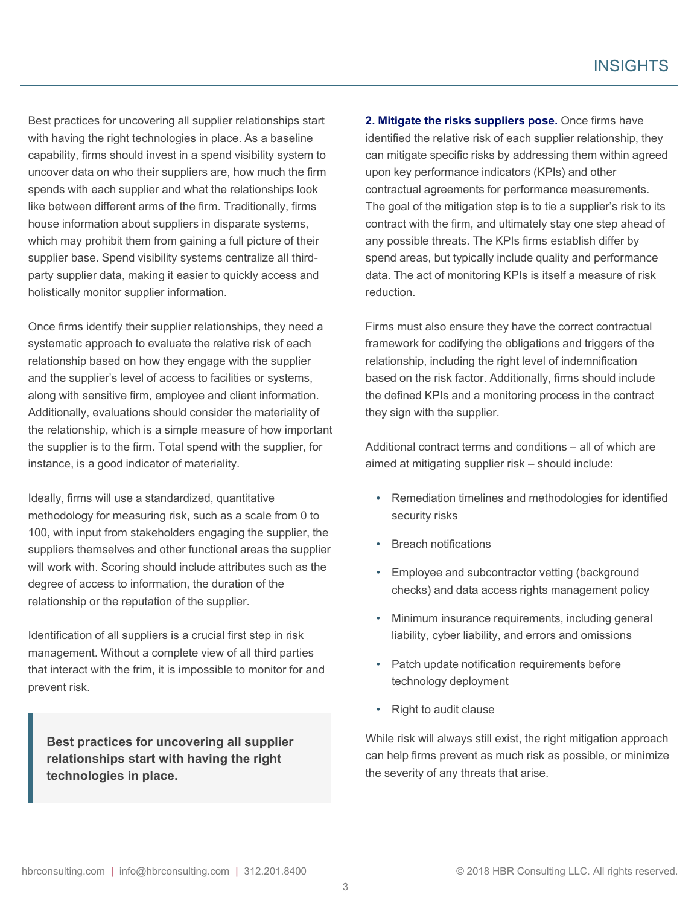Best practices for uncovering all supplier relationships start with having the right technologies in place. As a baseline capability, firms should invest in a spend visibility system to uncover data on who their suppliers are, how much the firm spends with each supplier and what the relationships look like between different arms of the firm. Traditionally, firms house information about suppliers in disparate systems, which may prohibit them from gaining a full picture of their supplier base. Spend visibility systems centralize all thirdparty supplier data, making it easier to quickly access and holistically monitor supplier information.

Once firms identify their supplier relationships, they need a systematic approach to evaluate the relative risk of each relationship based on how they engage with the supplier and the supplier's level of access to facilities or systems, along with sensitive firm, employee and client information. Additionally, evaluations should consider the materiality of the relationship, which is a simple measure of how important the supplier is to the firm. Total spend with the supplier, for instance, is a good indicator of materiality.

Ideally, firms will use a standardized, quantitative methodology for measuring risk, such as a scale from 0 to 100, with input from stakeholders engaging the supplier, the suppliers themselves and other functional areas the supplier will work with. Scoring should include attributes such as the degree of access to information, the duration of the relationship or the reputation of the supplier.

Identification of all suppliers is a crucial first step in risk management. Without a complete view of all third parties that interact with the frim, it is impossible to monitor for and prevent risk.

**Best practices for uncovering all supplier relationships start with having the right technologies in place.**

**2. Mitigate the risks suppliers pose.** Once firms have identified the relative risk of each supplier relationship, they can mitigate specific risks by addressing them within agreed upon key performance indicators (KPIs) and other contractual agreements for performance measurements. The goal of the mitigation step is to tie a supplier's risk to its contract with the firm, and ultimately stay one step ahead of any possible threats. The KPIs firms establish differ by spend areas, but typically include quality and performance data. The act of monitoring KPIs is itself a measure of risk reduction.

Firms must also ensure they have the correct contractual framework for codifying the obligations and triggers of the relationship, including the right level of indemnification based on the risk factor. Additionally, firms should include the defined KPIs and a monitoring process in the contract they sign with the supplier.

Additional contract terms and conditions – all of which are aimed at mitigating supplier risk – should include:

- Remediation timelines and methodologies for identified security risks
- Breach notifications
- Employee and subcontractor vetting (background checks) and data access rights management policy
- Minimum insurance requirements, including general liability, cyber liability, and errors and omissions
- Patch update notification requirements before technology deployment
- Right to audit clause

While risk will always still exist, the right mitigation approach can help firms prevent as much risk as possible, or minimize the severity of any threats that arise.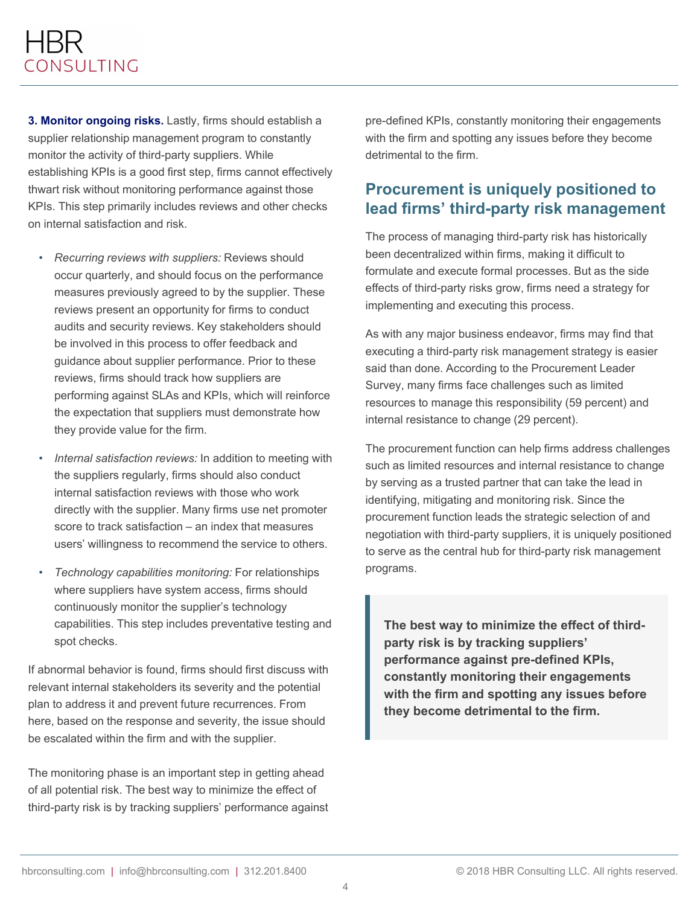**3. Monitor ongoing risks.** Lastly, firms should establish a supplier relationship management program to constantly monitor the activity of third-party suppliers. While establishing KPIs is a good first step, firms cannot effectively thwart risk without monitoring performance against those KPIs. This step primarily includes reviews and other checks on internal satisfaction and risk.

- *Recurring reviews with suppliers:* Reviews should occur quarterly, and should focus on the performance measures previously agreed to by the supplier. These reviews present an opportunity for firms to conduct audits and security reviews. Key stakeholders should be involved in this process to offer feedback and guidance about supplier performance. Prior to these reviews, firms should track how suppliers are performing against SLAs and KPIs, which will reinforce the expectation that suppliers must demonstrate how they provide value for the firm.
- *Internal satisfaction reviews:* In addition to meeting with the suppliers regularly, firms should also conduct internal satisfaction reviews with those who work directly with the supplier. Many firms use net promoter score to track satisfaction – an index that measures users' willingness to recommend the service to others.
- *Technology capabilities monitoring:* For relationships where suppliers have system access, firms should continuously monitor the supplier's technology capabilities. This step includes preventative testing and spot checks.

If abnormal behavior is found, firms should first discuss with relevant internal stakeholders its severity and the potential plan to address it and prevent future recurrences. From here, based on the response and severity, the issue should be escalated within the firm and with the supplier.

The monitoring phase is an important step in getting ahead of all potential risk. The best way to minimize the effect of third-party risk is by tracking suppliers' performance against

pre-defined KPIs, constantly monitoring their engagements with the firm and spotting any issues before they become detrimental to the firm.

#### **Procurement is uniquely positioned to lead firms' third-party risk management**

The process of managing third-party risk has historically been decentralized within firms, making it difficult to formulate and execute formal processes. But as the side effects of third-party risks grow, firms need a strategy for implementing and executing this process.

As with any major business endeavor, firms may find that executing a third-party risk management strategy is easier said than done. According to the Procurement Leader Survey, many firms face challenges such as limited resources to manage this responsibility (59 percent) and internal resistance to change (29 percent).

The procurement function can help firms address challenges such as limited resources and internal resistance to change by serving as a trusted partner that can take the lead in identifying, mitigating and monitoring risk. Since the procurement function leads the strategic selection of and negotiation with third-party suppliers, it is uniquely positioned to serve as the central hub for third-party risk management programs.

**The best way to minimize the effect of thirdparty risk is by tracking suppliers' performance against pre-defined KPIs, constantly monitoring their engagements with the firm and spotting any issues before they become detrimental to the firm.**